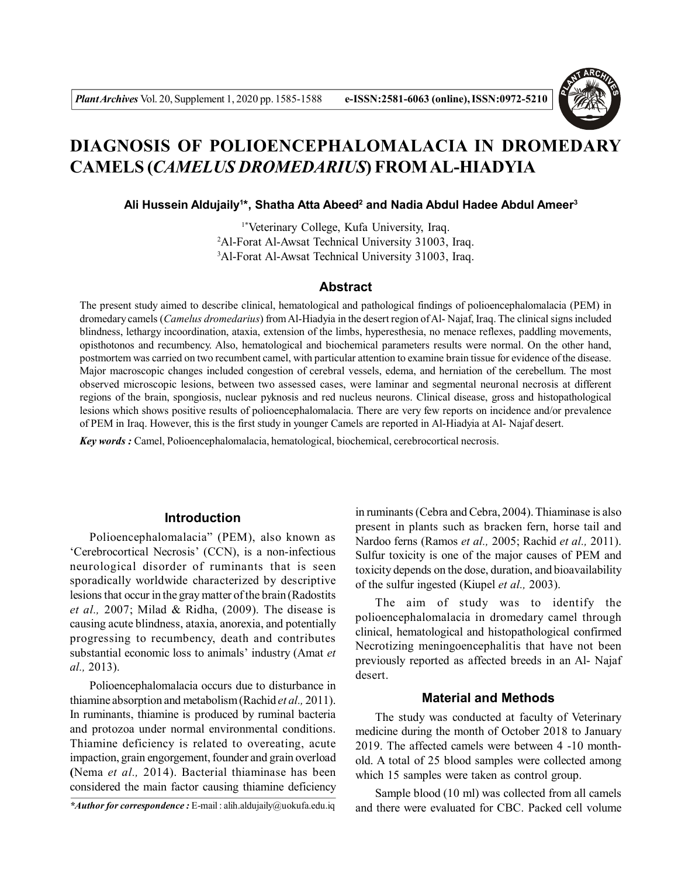

# **DIAGNOSIS OF POLIOENCEPHALOMALACIA IN DROMEDARY CAMELS (***CAMELUS DROMEDARIUS***) FROM AL-HIADYIA**

 **Ali Hussein Aldujaily<sup>1</sup> \*, Shatha Atta Abeed<sup>2</sup> and Nadia Abdul Hadee Abdul Ameer<sup>3</sup>**

1\*Veterinary College, Kufa University, Iraq. <sup>2</sup>Al-Forat Al-Awsat Technical University 31003, Iraq. <sup>3</sup>Al-Forat Al-Awsat Technical University 31003, Iraq.

## **Abstract**

The present study aimed to describe clinical, hematological and pathological findings of polioencephalomalacia (PEM) in dromedary camels (*Camelus dromedarius*) from Al-Hiadyia in the desert region of Al- Najaf, Iraq. The clinical signs included blindness, lethargy incoordination, ataxia, extension of the limbs, hyperesthesia, no menace reflexes, paddling movements, opisthotonos and recumbency. Also, hematological and biochemical parameters results were normal. On the other hand, postmortem was carried on two recumbent camel, with particular attention to examine brain tissue for evidence of the disease. Major macroscopic changes included congestion of cerebral vessels, edema, and herniation of the cerebellum. The most observed microscopic lesions, between two assessed cases, were laminar and segmental neuronal necrosis at different regions of the brain, spongiosis, nuclear pyknosis and red nucleus neurons. Clinical disease, gross and histopathological lesions which shows positive results of polioencephalomalacia. There are very few reports on incidence and/or prevalence of PEM in Iraq. However, this is the first study in younger Camels are reported in Al-Hiadyia at Al- Najaf desert.

*Key words :* Camel, Polioencephalomalacia, hematological, biochemical, cerebrocortical necrosis.

## **Introduction**

Polioencephalomalacia" (PEM), also known as 'Cerebrocortical Necrosis' (CCN), is a non-infectious neurological disorder of ruminants that is seen sporadically worldwide characterized by descriptive lesions that occur in the gray matter of the brain (Radostits *et al.,* 2007; Milad & Ridha, (2009). The disease is causing acute blindness, ataxia, anorexia, and potentially progressing to recumbency, death and contributes substantial economic loss to animals' industry (Amat *et al.,* 2013).

Polioencephalomalacia occurs due to disturbance in thiamine absorption and metabolism (Rachid *et al.,* 2011). In ruminants, thiamine is produced by ruminal bacteria and protozoa under normal environmental conditions. Thiamine deficiency is related to overeating, acute impaction, grain engorgement, founder and grain overload **(**Nema *et al.,* 2014). Bacterial thiaminase has been considered the main factor causing thiamine deficiency

in ruminants (Cebra and Cebra, 2004). Thiaminase is also present in plants such as bracken fern, horse tail and Nardoo ferns (Ramos *et al.,* 2005; Rachid *et al.,* 2011). Sulfur toxicity is one of the major causes of PEM and toxicity depends on the dose, duration, and bioavailability of the sulfur ingested (Kiupel *et al.,* 2003).

The aim of study was to identify the polioencephalomalacia in dromedary camel through clinical, hematological and histopathological confirmed Necrotizing meningoencephalitis that have not been previously reported as affected breeds in an Al- Najaf desert.

#### **Material and Methods**

The study was conducted at faculty of Veterinary medicine during the month of October 2018 to January 2019. The affected camels were between 4 -10 monthold. A total of 25 blood samples were collected among which 15 samples were taken as control group.

Sample blood (10 ml) was collected from all camels and there were evaluated for CBC. Packed cell volume

*<sup>\*</sup>Author for correspondence :* E-mail : alih.aldujaily@uokufa.edu.iq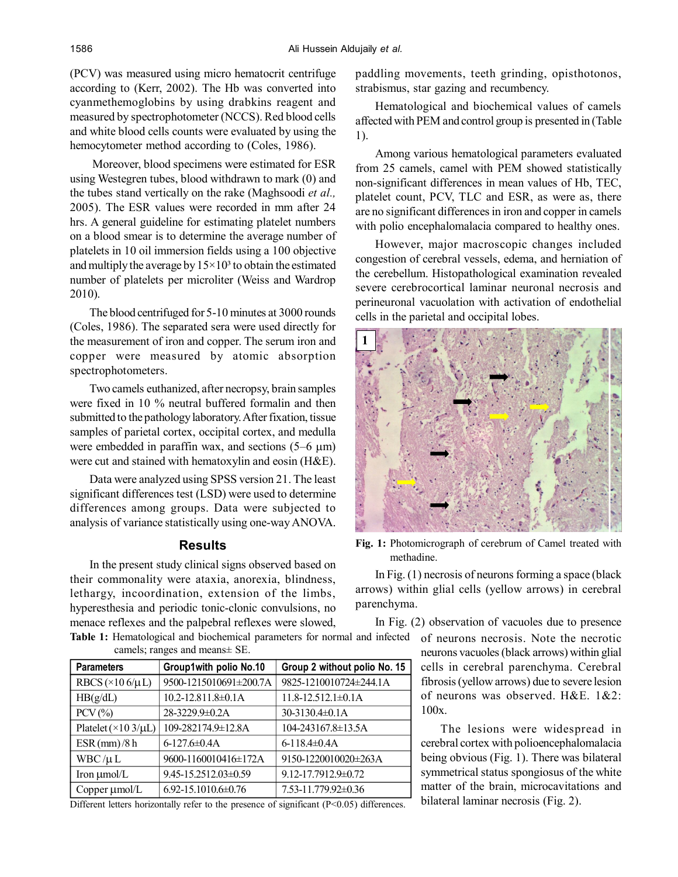(PCV) was measured using micro hematocrit centrifuge according to (Kerr, 2002). The Hb was converted into cyanmethemoglobins by using drabkins reagent and measured by spectrophotometer (NCCS). Red blood cells and white blood cells counts were evaluated by using the hemocytometer method according to (Coles, 1986).

Moreover, blood specimens were estimated for ESR using Westegren tubes, blood withdrawn to mark (0) and the tubes stand vertically on the rake (Maghsoodi *et al.,* 2005). The ESR values were recorded in mm after 24 hrs. A general guideline for estimating platelet numbers on a blood smear is to determine the average number of platelets in 10 oil immersion fields using a 100 objective and multiply the average by  $15\times10^3$  to obtain the estimated number of platelets per microliter (Weiss and Wardrop 2010).

The blood centrifuged for 5-10 minutes at 3000 rounds (Coles, 1986). The separated sera were used directly for the measurement of iron and copper. The serum iron and copper were measured by atomic absorption spectrophotometers.

Two camels euthanized, after necropsy, brain samples were fixed in 10 % neutral buffered formalin and then submitted to the pathology laboratory. After fixation, tissue samples of parietal cortex, occipital cortex, and medulla were embedded in paraffin wax, and sections  $(5-6 \mu m)$ were cut and stained with hematoxylin and eosin (H&E).

Data were analyzed using SPSS version 21. The least significant differences test (LSD) were used to determine differences among groups. Data were subjected to analysis of variance statistically using one-way ANOVA.

# **Results**

In the present study clinical signs observed based on their commonality were ataxia, anorexia, blindness, lethargy, incoordination, extension of the limbs, hyperesthesia and periodic tonic-clonic convulsions, no menace reflexes and the palpebral reflexes were slowed,

**Table 1:** Hematological and biochemical parameters for normal and infected camels; ranges and means± SE.

| <b>Parameters</b>              | Group1with polio No.10      | Group 2 without polio No. 15 |
|--------------------------------|-----------------------------|------------------------------|
| RBCS ( $\times$ 10 6/ $\mu$ L) | 9500-1215010691±200.7A      | 9825-1210010724±244.1A       |
| HB(g/dL)                       | 10.2-12.811.8±0.1A          | $11.8 - 12.512.1 \pm 0.1$ A  |
| $PCV$ $(\%)$                   | 28-3229.9±0.2A              | $30-3130.4\pm0.1$ A          |
| Platelet $(\times 103/\mu L)$  | 109-282174.9±12.8A          | 104-243167.8±13.5A           |
| ESR(mm)/8h                     | $6 - 127.6 \pm 0.4$ A       | 6-118.4 $\pm$ 0.4A           |
| $WBC/\mu L$                    | 9600-1160010416±172A        | 9150-1220010020±263A         |
| Iron µmol/L                    | 9.45-15.2512.03±0.59        | 9.12-17.7912.9±0.72          |
| Copper µmol/L                  | $6.92 - 15.1010.6 \pm 0.76$ | 7.53-11.779.92±0.36          |

Different letters horizontally refer to the presence of significant (P<0.05) differences.

paddling movements, teeth grinding, opisthotonos, strabismus, star gazing and recumbency.

Hematological and biochemical values of camels affected with PEM and control group is presented in (Table 1).

Among various hematological parameters evaluated from 25 camels, camel with PEM showed statistically non-significant differences in mean values of Hb, TEC, platelet count, PCV, TLC and ESR, as were as, there are no significant differences in iron and copper in camels with polio encephalomalacia compared to healthy ones.

However, major macroscopic changes included congestion of cerebral vessels, edema, and herniation of the cerebellum. Histopathological examination revealed severe cerebrocortical laminar neuronal necrosis and perineuronal vacuolation with activation of endothelial cells in the parietal and occipital lobes.



**Fig. 1:** Photomicrograph of cerebrum of Camel treated with methadine.

In Fig. (1) necrosis of neurons forming a space (black arrows) within glial cells (yellow arrows) in cerebral parenchyma.

In Fig. (2) observation of vacuoles due to presence of neurons necrosis. Note the necrotic neurons vacuoles (black arrows) within glial cells in cerebral parenchyma. Cerebral fibrosis (yellow arrows) due to severe lesion of neurons was observed. H&E. 1&2: 100x.

> The lesions were widespread in cerebral cortex with polioencephalomalacia being obvious (Fig. 1). There was bilateral symmetrical status spongiosus of the white matter of the brain, microcavitations and bilateral laminar necrosis (Fig. 2).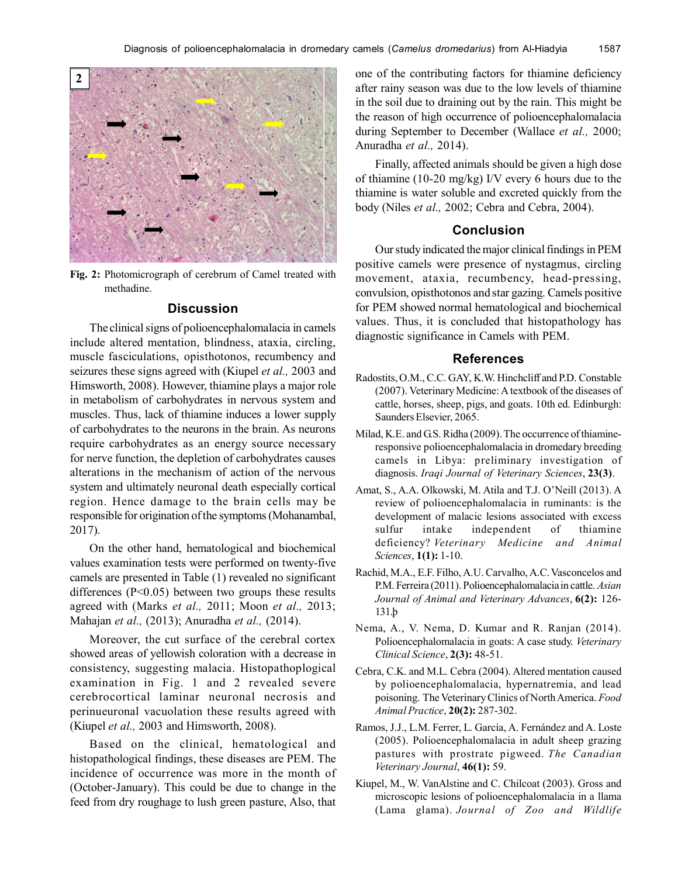

**Fig. 2:** Photomicrograph of cerebrum of Camel treated with methadine.

### **Discussion**

The clinical signs of polioencephalomalacia in camels include altered mentation, blindness, ataxia, circling, muscle fasciculations, opisthotonos, recumbency and seizures these signs agreed with (Kiupel *et al.,* 2003 and Himsworth, 2008). However, thiamine plays a major role in metabolism of carbohydrates in nervous system and muscles. Thus, lack of thiamine induces a lower supply of carbohydrates to the neurons in the brain. As neurons require carbohydrates as an energy source necessary for nerve function, the depletion of carbohydrates causes alterations in the mechanism of action of the nervous system and ultimately neuronal death especially cortical region. Hence damage to the brain cells may be responsible for origination of the symptoms (Mohanambal, 2017).

On the other hand, hematological and biochemical values examination tests were performed on twenty-five camels are presented in Table (1) revealed no significant differences (P<0.05) between two groups these results agreed with (Marks *et al.,* 2011; Moon *et al.,* 2013; Mahajan *et al.,* (2013); Anuradha *et al.,* (2014).

Moreover, the cut surface of the cerebral cortex showed areas of yellowish coloration with a decrease in consistency, suggesting malacia. Histopathoplogical examination in Fig. 1 and 2 revealed severe cerebrocortical laminar neuronal necrosis and perinueuronal vacuolation these results agreed with (Kiupel *et al.,* 2003 and Himsworth, 2008).

Based on the clinical, hematological and histopathological findings, these diseases are PEM. The incidence of occurrence was more in the month of (October-January). This could be due to change in the feed from dry roughage to lush green pasture, Also, that

one of the contributing factors for thiamine deficiency after rainy season was due to the low levels of thiamine in the soil due to draining out by the rain. This might be the reason of high occurrence of polioencephalomalacia during September to December (Wallace *et al.,* 2000; Anuradha *et al.,* 2014).

Finally, affected animals should be given a high dose of thiamine (10-20 mg/kg) I/V every 6 hours due to the thiamine is water soluble and excreted quickly from the body (Niles *et al.,* 2002; Cebra and Cebra, 2004).

## **Conclusion**

Our study indicated the major clinical findings in PEM positive camels were presence of nystagmus, circling movement, ataxia, recumbency, head-pressing, convulsion, opisthotonos and star gazing. Camels positive for PEM showed normal hematological and biochemical values. Thus, it is concluded that histopathology has diagnostic significance in Camels with PEM.

#### **References**

- Radostits, O.M., C.C. GAY, K.W. Hinchcliff and P.D. Constable (2007). Veterinary Medicine: A textbook of the diseases of cattle, horses, sheep, pigs, and goats. 10th ed. Edinburgh: Saunders Elsevier, 2065.
- Milad, K.E. and G.S. Ridha (2009). The occurrence of thiamineresponsive polioencephalomalacia in dromedary breeding camels in Libya: preliminary investigation of diagnosis. *Iraqi Journal of Veterinary Sciences*, **23(3)**.
- Amat, S., A.A. Olkowski, M. Atila and T.J. O'Neill (2013). A review of polioencephalomalacia in ruminants: is the development of malacic lesions associated with excess sulfur intake independent of thiamine deficiency? *Veterinary Medicine and Animal Sciences*, **1(1):** 1-10.
- Rachid, M.A., E.F. Filho, A.U. Carvalho, A.C. Vasconcelos and P.M. Ferreira (2011). Polioencephalomalacia in cattle. *Asian Journal of Animal and Veterinary Advances*, **6(2):** 126- 131.þ
- Nema, A., V. Nema, D. Kumar and R. Ranjan (2014). Polioencephalomalacia in goats: A case study. *Veterinary Clinical Science*, **2(3):** 48-51.
- Cebra, C.K. and M.L. Cebra (2004). Altered mentation caused by polioencephalomalacia, hypernatremia, and lead poisoning. The Veterinary Clinics of North America. *Food Animal Practice*, **20(2):** 287-302.
- Ramos, J.J., L.M. Ferrer, L. García, A. Fernández and A. Loste (2005). Polioencephalomalacia in adult sheep grazing pastures with prostrate pigweed. *The Canadian Veterinary Journal*, **46(1):** 59.
- Kiupel, M., W. VanAlstine and C. Chilcoat (2003). Gross and microscopic lesions of polioencephalomalacia in a llama (Lama glama). *Journal of Zoo and Wildlife*